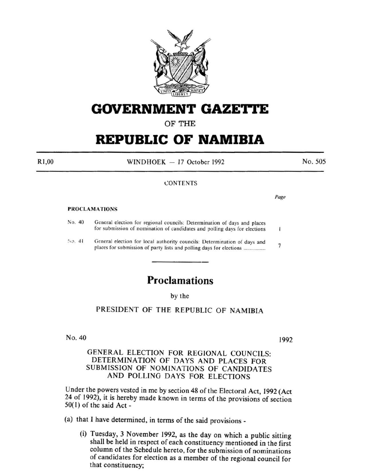

# **GOVERNMENT GAZE'rtE**

OF THE

# **REPUBLIC OF NAMIBIA**

RI,OO

 $WINDHOEK - 17$  October 1992

No. 505

### **CONTENTS**

#### PROCLAMATIONS

| No. 40 |  | General election for regional councils: Determination of days and places<br>for submission of nomination of candidates and polling days for elections |                |
|--------|--|-------------------------------------------------------------------------------------------------------------------------------------------------------|----------------|
| No. 41 |  | General election for local authority councils: Determination of days and                                                                              | $\overline{1}$ |

## **Proclamations**

by the

PRESIDENT OF THE REPUBLIC OF NAMIBIA

No. 40

1992

GENERAL ELECTION FOR REGIONAL COUNCILS: DETERMINATION OF DAYS AND PLACES FOR SUBMISSION OF NOMINATIONS OF CANDIDATES AND POLLING DAYS FOR ELECTIONS

Under the powers vested in me by section 48 of the Electoral Act, 1992 (Act 24 of 1992), it is hereby made known in terms of the provisions of section  $50(1)$  of the said Act -

(a) that I have determined, in terms of the said provisions-

(i) Tuesday, 3 November 1992, as the day on which a public sitting shall be held in respect of each constituency mentioned in the first column of the Schedule hereto, for the submission of nominations of candidates for election as a member of the regional council for that constituency;

*Page*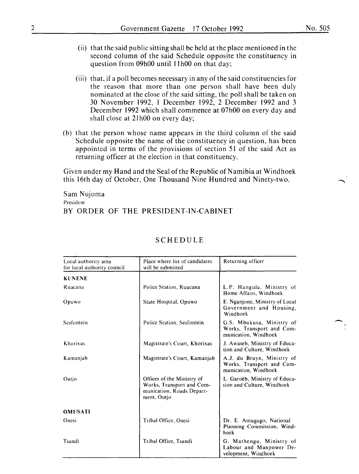- (ii) that the said public sitting shall be held at the place mentioned in the second column of the said Schedule opposite the constituency in question from 09h00 until 11h00 on that day;
- (iii) that, if a poll becomes necessary in any of the said constituencies for the reason that more than one person shall have been duly nominated at the close of the said sitting, the poll shall be taken on 30 November 1992, I December 1992, 2 December 1992 and 3 December 1992 which shall commence at 07h00 on every day and shall close at 21h00 on every day;
- (b) that the person whose name appears in the third column of the said Schedule opposite the name of the constituency in question, has been appointed in terms of the provisions of section 51 of the said Act as returning officer at the election in that constituency.

Given under my Hand and the Seal ofthe Republic of Namibia at Windhoek this 16th day of October, One Thousand Nine Hundred and Ninety-two.

Sam Nujoma President BY ORDER OF THE PRESIDENT-IN-CABINET

| Local authority area<br>for local authority council | Place where list of candidates<br>will be submitted                                                 | Returning officer                                                               |
|-----------------------------------------------------|-----------------------------------------------------------------------------------------------------|---------------------------------------------------------------------------------|
| <b>KUNENE</b>                                       |                                                                                                     |                                                                                 |
| Ruacana                                             | Police Station, Ruacana                                                                             | L.P. Hangula, Ministry of<br>Home Affairs, Windhoek                             |
| Opuwo                                               | State Hospital, Opuwo                                                                               | E. Nganjone, Ministry of Local<br>Government and Housing,<br>Windhoek           |
| Sesfontein                                          | Police Station, Sesfontein                                                                          | G.S. Mbukusa, Ministry of<br>Works, Transport and Com-<br>munication, Windhoek  |
| Khorixas                                            | Magistrate's Court, Khorixas                                                                        | J. Awaseb, Ministry of Educa-<br>tion and Culture, Windhoek                     |
| Kamanjab                                            | Magistrate's Court, Kamanjab                                                                        | A.J. du Bruyn, Ministry of<br>Works, Transport and Com-<br>munication. Windhoek |
| Outjo                                               | Offices of the Ministry of<br>Works, Transport and Com-<br>munication, Roads Depart-<br>ment, Outjo | L. Garoëb, Ministry of Educa-<br>tion and Culture, Windhoek                     |
| <b>OMUSATI</b>                                      |                                                                                                     |                                                                                 |
| Onesi                                               | Tribal Office, Onesi                                                                                | Dr. E. Amugugo, National<br>Planning Commission, Wind-<br>hoek                  |
| Tsandi                                              | Tribal Office, Tsandi                                                                               | G. Mathengu, Ministry of<br>Labour and Manpower De-<br>velopment, Windhoek      |

### SCHEDULE

 $\overline{\phantom{a}}$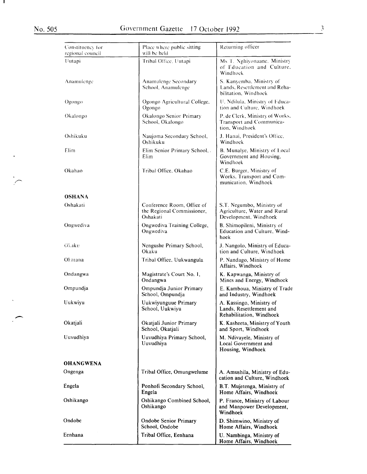л.

 $\langle \cdot \rangle$ 

 $\frac{1}{2}$ 

 $\hat{\mathbf{v}}$ 

 $\mathcal{L}$ 

| Constituency for<br>regional council | Place where public sitting<br>will be held                           | Returning officer                                                                  |
|--------------------------------------|----------------------------------------------------------------------|------------------------------------------------------------------------------------|
| Uutapi                               | Tribal Office, Uutapi                                                | Ms T. Nghiyonaane, Ministry<br>of Education and Culture.<br>Windhock               |
| Anamulenge                           | Anamulenge Secondary<br>School, Anamulenge                           | S. Kanyemba, Ministry of<br>Lands, Resettlement and Reha-<br>bilitation. Windhock  |
| Ogongo                               | Ogongo Agricultural College,<br>Ogongo                               | U. Ndilula, Ministry of Educa-<br>tion and Culture, Windhoek                       |
| Okalongo                             | Okalongo Senior Primary<br>School, Okalongo                          | P. de Clerk, Ministry of Works,<br>Transport and Communica-<br>tion. Windhoek      |
| Oshikuku                             | Naujoma Secondary School,<br>Oshikuku                                | J. Hanai, President's Office,<br>Windhoek                                          |
| Elim                                 | Elim Senior Primary School,.<br>Elim                                 | B. Munalye, Ministry of Local<br>Government and Housing,<br>Windhoek               |
| Okahao                               | Tribal Office, Okahao                                                | C.E. Burger, Ministry of<br>Works, Transport and Com-<br>munication. Windhoek      |
| OSHANA                               |                                                                      |                                                                                    |
| Oshakati                             | Conference Room, Office of<br>the Regional Commissioner,<br>Oshakati | S.T. Negumbo, Ministry of<br>Agriculture, Water and Rural<br>Development, Windhoek |
| Ongwediva                            | Ongwediva Training College,<br>Ongwediva                             | B. Shimopileni, Ministry of<br>Education and Culture, Wind-<br>hoek                |
| Okaku                                | Nengushe Primary School,<br>Okaku                                    | J. Nangolo, Ministry of Educa-<br>tion and Culture, Windhoek                       |
| Okatana                              | Tribal Office, Uukwangula                                            | P. Nandago, Ministry of Home<br>Affairs, Windhoek                                  |
| Ondangwa                             | Magistrate's Court No. 1,<br>Ondangwa                                | K. Kapwanga, Ministry of<br>Mines and Energy, Windhoek                             |
| Ompundja                             | Ompundja Junior Primary<br>School, Ompundja                          | E. Kamboua, Ministry of Trade<br>and Industry, Windhoek                            |
| Uukwiyu                              | Uukwiyunguue Primary<br>School, Uukwiyu                              | A. Kassingo, Ministry of<br>Lands, Resettlement and<br>Rehabilitation, Windhoek    |
| Okatjali                             | Okatjali Junior Primary<br>School, Okatjali                          | K. Kasheeta, Ministry of Youth<br>and Sport, Windhoek                              |
| Uuvudhiya                            | Uuvudhiya Primary School,<br>Uuvudhiya                               | M. Ndivayele, Ministry of<br>Local Government and<br>Housing, Windhoek             |
| <b>OHANGWENA</b>                     |                                                                      |                                                                                    |
| Ongenga                              | Tribal Office, Omungwelume                                           | A. Amushila, Ministry of Edu-<br>cation and Culture, Windhoek                      |
| Engela                               | Ponhofi Secondary School,<br>Engela                                  | B.T. Mujetenga, Ministry of<br>Home Affairs, Windhoek                              |
| Oshikango                            | Oshikango Combined School,<br>Oshikango                              | P. France, Ministry of Labour<br>and Manpower Development,<br>Windhoek             |
| Ondobe                               | <b>Ondobe Senior Primary</b><br>School, Ondobe                       | D. Shimwino, Ministry of<br>Home Affairs, Windhoek                                 |
| Eenhana                              | Tribal Office, Eenhana                                               | U. Nambinga, Ministry of<br>Home Affairs, Windhoek                                 |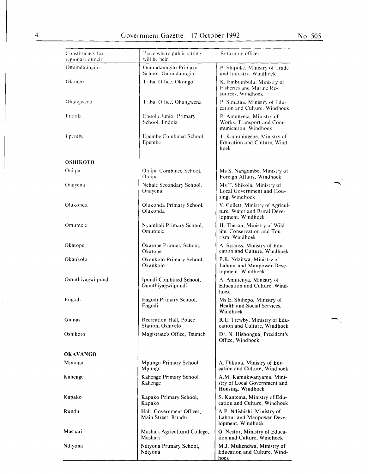$\ddot{\phantom{a}}$ 

 $\bigcap$ .

| Constituency for<br>regional council | Place where public sitting<br>will be held      | Returning officer                                                                    |
|--------------------------------------|-------------------------------------------------|--------------------------------------------------------------------------------------|
| Omundaungilo                         | Omundaungilo Primary<br>School, Omundaungilo    | P. Shipoke, Ministry of Trade<br>and Industry, Windhoek                              |
| Okongo                               | Tribal Office, Okongo                           | K. Embumbulu, Ministry of<br>Fisheries and Marine Re-<br>sources, Windhoek           |
| Ohangwena                            | Tribal Office, Ohangwena                        | P. Simataa, Ministry of Edu-<br>cation and Culture, Windhoek                         |
| Endola                               | Endola Junior Primary<br>School, Endola         | P. Amunyela, Ministry of<br>Works, Transport and Com-<br>munication. Windhoek        |
| Epembe                               | Epembe Combined School,<br>Epembe               | T. Kamupingene, Ministry of<br>Education and Culture, Wind-<br>hoek                  |
| OSHIKOTO                             |                                                 |                                                                                      |
| Oniipa                               | Oniipa Combined School,<br>Oniipa               | Ms S. Nangombe, Ministry of<br>Foreign Affairs, Windhoek                             |
| Onayena                              | Nehale Secondary School,<br>Onayena             | Ms T. Shikola, Ministry of<br>Local Government and Hou-<br>sing, Windhoek            |
| Olukonda                             | Olukonda Primary School,<br>Olukonda            | V. Collett, Ministry of Agricul-<br>ture, Water and Rural Deve-<br>lopment, Windhoek |
| Omuntele                             | Nyambali Primary School,<br>Omuntele            | H. Theron, Ministry of Wild-<br>life, Conservation and Tou-<br>rism, Windhoek        |
| Okatope                              | Okatope Primary School,<br>Okatope              | A. Strauss, Ministry of Edu-<br>cation and Culture, Windhoek                         |
| Okankolo                             | Okankolo Primary School,<br>Okankolo            | P.K. Ndaitwa, Ministry of<br>Labour and Manpower Deve-<br>lopment, Windhoek          |
| Omuthiyagwiipundi                    | Ipundi Combined School,<br>Omuthiyagwiipundi    | A. Amutenya, Ministry of<br>Education and Culture, Wind-<br>hoek                     |
| Engodi                               | Engodi Primary School,<br>Engodi                | Ms E. Shihepo, Ministry of<br>Health and Social Services,<br>Windhoek                |
| Guinas                               | Recreation Hall, Police<br>Station, Oshivelo    | R.L. Trewby, Ministry of Edu-<br>cation and Culture, Windhoek                        |
| Oshikoto                             | Magistrate's Office, Tsumeb                     | Dr. N. Hishongua, President's<br>Office, Windhoek                                    |
| <b>OKAVANGO</b>                      |                                                 |                                                                                      |
| Mpungu                               | Mpungu Primary School,<br>Mpungu                | A. Dikuua, Ministry of Edu-<br>cation and Culture, Windhoek                          |
| Kahenge                              | Kahenge Primary School,<br>Kahenge              | A.M. Kamukwanyama, Mini-<br>stry of Local Government and<br>Housing, Windhoek        |
| Kapako                               | Kapako Primary School,<br>Kapako                | S. Kantema, Ministry of Edu-<br>cation and Culture, Windhoek                         |
| Rundu                                | Hall, Government Offices,<br>Main Street, Rundu | A.P. Ndishishi, Ministry of<br>Labour and Manpower Deve-<br>lopment, Windhoek        |
| Mashari                              | Mashari Agricultural College,<br>Mashari        | G. Nestor, Ministry of Educa-<br>tion and Culture, Windhoek                          |
| Ndiyona                              | Ndiyona Primary School,<br>Ndiyona              | M.J. Mukendwa, Ministry of<br>Education and Culture, Wind-<br>hoek                   |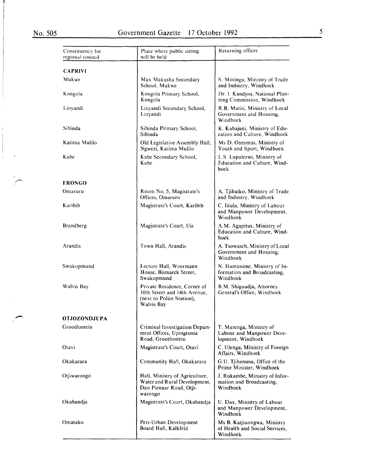$\frac{1}{2}$ 

 $\langle \rangle$ 

| Constituency for<br>regional council | Place where public sitting<br>will be held                                                                     | Returning officer                                                         |
|--------------------------------------|----------------------------------------------------------------------------------------------------------------|---------------------------------------------------------------------------|
| <b>CAPRIVI</b>                       |                                                                                                                |                                                                           |
| Mukwe                                | Max Makusha Secondary<br>School, Mukwe                                                                         | S. Motinga, Ministry of Trade<br>and Industry, Windhoek                   |
| Kongola                              | Kongola Primary School,<br>Kongola                                                                             | Dr. I. Kandjou, National Plan-<br>ning Commission, Windhoek               |
| Linyandi                             | Linyandi Secondary School,<br>Linyandi                                                                         | R.B. Matiti, Ministry of Local<br>Government and Housing,<br>Windhoek     |
| Sibinda                              | Sibinda Primary School,<br>Sibinda                                                                             | K. Kabajani, Ministry of Edu-<br>cation and Culture, Windhoek             |
| Katima Mulilo                        | Old Legislative Assembly Hall,<br>Ngwezi, Katima Mulilo                                                        | Ms D. Onesmus, Ministry of<br>Youth and Sport, Windhoek                   |
| Kabe                                 | Kabe Secondary School,<br>Kabe                                                                                 | L.S. Lupalezwi, Ministry of<br>Education and Culture, Wind-<br>hoek       |
| <b>ERONGO</b>                        |                                                                                                                |                                                                           |
| Omaruru                              | Room No. 5, Magistrate's<br>Offices, Omaruru                                                                   | A. Tjihuiko, Ministry of Trade<br>and Industry, Windhoek                  |
| Karibib                              | Magistrate's Court, Karibib                                                                                    | C. Iitula, Ministry of Labour<br>and Manpower Development,<br>Windhoek    |
| <b>Brandberg</b>                     | Magistrate's Court, Uis                                                                                        | A.M. Agapitus, Ministry of<br>Education and Culture, Wind-<br>hoek        |
| Arandis                              | Town Hall, Arandis                                                                                             | A. Tsowaseb, Ministry of Local<br>Government and Housing,<br>Windhoek     |
| Swakopmund                           | Lecture Hall, Woermann<br>House, Bismarck Street,<br>Swakopmund                                                | N. Hamunime, Ministry of In-<br>formation and Broadcasting,<br>Windhoek   |
| Walvis Bay                           | Private Residence, Corner of<br>10th Street and 14th Avenue,<br>(next to Police Station),<br><b>Walvis Bay</b> | B.M. Shiguadja, Attorney<br>General's Office, Windhoek                    |
| <b>OTJOZONDJUPA</b>                  |                                                                                                                |                                                                           |
| Grootfontein                         | Criminal Investigation Depart-<br>ment Offices, Upingtonia<br>Road, Grootfontein                               | T. Marenga, Ministry of<br>Labour and Manpower Deve-<br>lopment, Windhoek |
| Otavi                                | Magistrate's Court, Otavi                                                                                      | C. Ulenga, Ministry of Foreign<br>Affairs, Windhoek                       |
| Okakarara                            | Community Hall, Okakarara                                                                                      | G.U. Tjihenuna, Office of the<br>Prime Minister, Windhoek                 |
| Otjiwarongo                          | Hall, Ministry of Agriculture,<br>Water and Rural Development,<br>Dan Pienaar Road, Otji-<br>warongo           | J. Rukambe, Ministry of Infor-<br>mation and Broadcasting,<br>Windhoek    |
| Okahandja                            | Magistrate's Court, Okahandja                                                                                  | U. Dax, Ministry of Labour<br>and Manpower Development,<br>Windhoek       |
| Omatako                              | Peri-Urban Development<br>Board Hall, Kalkfeld                                                                 | Ms B. Katjiuongwa, Ministry<br>of Health and Social Services,<br>Windhoek |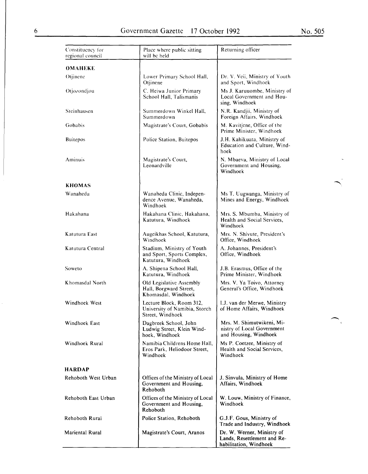$\hat{\mathcal{A}}$ 

 $\begin{array}{c} \begin{array}{c} \hline \end{array} \\ \hline \end{array}$ 

| Constituency for<br>regional council | Place where public sitting<br>will be held                                     | Returning officer                                                                   |
|--------------------------------------|--------------------------------------------------------------------------------|-------------------------------------------------------------------------------------|
| OMAHEKE                              |                                                                                |                                                                                     |
| Otjinene                             | Lower Primary School Hall,<br>Otjinene                                         | Dr. V. Veii, Ministry of Youth<br>and Sport, Windhoek                               |
| Otjozondjou                          | C. Heiwa Junior Primary<br>School Hall, Talismanis                             | Ms J. Karuuombe, Ministry of<br>Local Government and Hou-<br>sing, Windhoek         |
| Steinhausen                          | Summerdown Winkel Hall,<br>Summerdown                                          | N.R. Kandjii, Ministry of<br>Foreign Affairs, Windhoek                              |
| Gobabis                              | Magistrate's Court, Gobabis                                                    | M. Kavitjene, Office of the<br>Prime Minister, Windhoek                             |
| <b>Buitepos</b>                      | Police Station, Buitepos                                                       | J.H. Kahikuata, Ministry of<br>Education and Culture, Wind-<br>hoek                 |
| Aminuis                              | Magistrate's Court,<br>Leonardville                                            | N. Mbaeva, Ministry of Local<br>Government and Housing,<br>Windhoek                 |
| <b>KHOMAS</b>                        |                                                                                |                                                                                     |
| Wanaheda                             | Wanaheda Clinic, Indepen-<br>dence Avenue, Wanaheda,<br>Windhoek               | Ms T. Uugwanga, Ministry of<br>Mines and Energy, Windhoek                           |
| Hakahana                             | Hakahana Clinic, Hakahana,<br>Katutura, Windhoek                               | Mrs. S. Mbumba, Ministry of<br>Health and Social Services,<br>Windhoek              |
| Katutura East                        | Augeikhas School, Katutura,<br>Windhoek                                        | Mrs. N. Shivute, President's<br>Office, Windhoek                                    |
| Katutura Central                     | Stadium, Ministry of Youth<br>and Sport, Sports Complex,<br>Katutura, Windhoek | A. Johannes, President's<br>Office, Windhoek                                        |
| Soweto                               | A. Shipena School Hall,<br>Katutura, Windhoek                                  | J.B. Erasmus, Office of the<br>Prime Minister, Windhoek                             |
| Khomasdal North                      | Old Legislative Assembly<br>Hall, Borgward Street,<br>Khomasdal, Windhoek      | Mrs. V. Ya Toivo, Attorney<br>General's Office, Windhoek                            |
| Windhoek West                        | Lecture Block, Room 312,<br>University of Namibia, Storch<br>Street, Windhoek  | I.J. van der Merwe, Ministry<br>of Home Affairs, Windhoek                           |
| Windhoek East                        | Dagbreek School, John<br>Ludwig Street, Klein Wind-<br>hoek, Windhoek          | Mrs. M. Shimutwikeni, Mi-<br>nistry of Local Government<br>and Housing, Windhoek    |
| Windhoek Rural                       | Namibia Childrens Home Hall,<br>Eros Park, Heliodoor Street,<br>Windhoek       | Ms P. Coetzee, Ministry of<br>Health and Social Services,<br>Windhoek               |
| <b>HARDAP</b>                        |                                                                                |                                                                                     |
| Rehoboth West Urban                  | Offices of the Ministry of Local<br>Government and Housing,<br>Rehoboth        | J. Sinvula, Ministry of Home<br>Affairs, Windhoek                                   |
| Rehoboth East Urban                  | Offices of the Ministry of Local<br>Government and Housing,<br>Rehoboth        | W. Louw, Ministry of Finance,<br>Windhoek                                           |
| Rehoboth Rural                       | Police Station, Rehoboth                                                       | G.J.F. Gous, Ministry of<br>Trade and Industry, Windhoek                            |
| Mariental Rural                      | Magistrate's Court, Aranos                                                     | Dr. W. Werner, Ministry of<br>Lands, Resettlement and Re-<br>habilitation, Windhoek |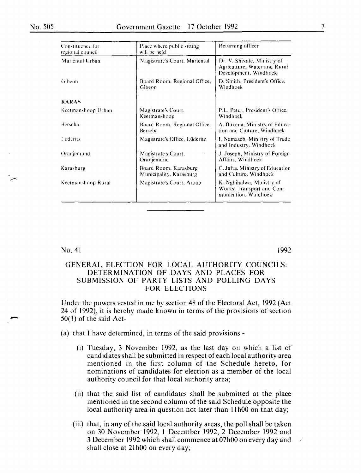| Constituency for<br>regional council | Place where public sitting<br>will be held       | Returning officer                                                                    |
|--------------------------------------|--------------------------------------------------|--------------------------------------------------------------------------------------|
| Mariental Urban                      | Magistrate's Court, Mariental                    | Dr. V. Shivute, Ministry of<br>Agriculture, Water and Rural<br>Development, Windhoek |
| Gibeon                               | Board Room, Regional Office,<br>Gibeon           | D. Smith, President's Office,<br>Windhoek                                            |
| <b>KARAS</b>                         |                                                  |                                                                                      |
| Keetmanshoop Urban                   | Magistrate's Court,<br>Keetmanshoop              | P.L. Peter, President's Office,<br>Windhoek                                          |
| Berseba                              | Board Room, Regional Office,<br>Berseba          | A. Ilukena, Ministry of Educa-<br>tion and Culture, Windhoek                         |
| Lüderitz                             | Magistrate's Office, Lüderitz                    | L. Namaseb, Ministry of Trade<br>and Industry, Windhoek                              |
| Oranjemund                           | Magistrate's Court,<br>Oranjemund                | J. Joseph, Ministry of Foreign<br>Affairs, Windhoek                                  |
| Karasburg                            | Board Room, Karasburg<br>Municipality, Karasburg | C. Jafta, Ministry of Education<br>and Culture, Windhoek                             |
| Keetmanshoop Rural                   | Magistrate's Court, Aroab                        | K. Nghihalwa, Ministry of<br>Works, Transport and Com-<br>munication, Windhoek       |

No. 4I

-

1992

### GENERAL ELECTION FOR LOCAL AUTHORITY COUNCILS: DETERMINATION OF DAYS AND PLACES FOR SUBMISSION OF PARTY LISTS AND POLLING DAYS FOR ELECTIONS

Under the powers vested in me by section 48 of the Electoral Act, 1992 (Act 24 of I 992), it is hereby made known in terms of the provisions of section 50( I) of the said Act-

(a) that I have determined, in terms of the said provisions-

- (i) Tuesday, 3 November 1992, as the last day on which a list of candidates shall be submitted in respect of each local authority area mentioned in the first column of the Schedule hereto, for nominations of candidates for election as a member of the local authority council for that local authority area;
- (ii) that the said list of candidates shall be submitted at the place mentioned in the second column of the said Schedule opposite the local authority area in question not later than 11h00 on that day;
- (iii) that, in any of the said local authority areas, the poll shall be taken on 30 November 1992, I December 1992, 2 December 1992 and 3 December 1992 which shall commence at 07h00 on every day and shall close at 21h00 on every day;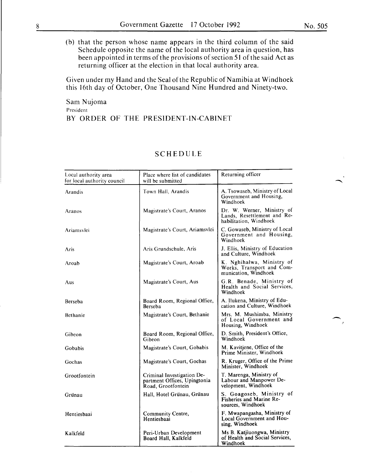(b) that the person whose name appears in the third column of the said Schedule opposite the name of the local authority area in question, has been appointed in terms of the provisions of section 51 of the said Act as returning officer at the election in that local authority area.

Given under my Hand and the Seal of the Republic of Namibia at Windhoek this I 6th day of October, One Thousand Nine Hundred and Ninety-two.

Sam Nujoma President BY ORDER OF THE PRESIDENT-IN-CABINET

| Local authority area<br>for local authority council | Place where list of candidates<br>will be submitted                              | Returning officer                                                                   |
|-----------------------------------------------------|----------------------------------------------------------------------------------|-------------------------------------------------------------------------------------|
| Arandis                                             | Town Hall, Arandis                                                               | A. Tsowaseb, Ministry of Local<br>Government and Housing,<br>Windhoek               |
| Aranos                                              | Magistrate's Court, Aranos                                                       | Dr. W. Werner, Ministry of<br>Lands, Resettlement and Re-<br>habilitation, Windhoek |
| Ariamsvlei                                          | Magistrate's Court, Ariamsvlei                                                   | C. Gowaseb, Ministry of Local<br>Government and Housing,<br>Windhoek                |
| Aris                                                | Aris Grundschule, Aris                                                           | J. Ellis, Ministry of Education<br>and Culture, Windhoek                            |
| Aroab                                               | Magistrate's Court, Aroab                                                        | K. Nghihalwa, Ministry of<br>Works, Transport and Com-<br>munication, Windhoek      |
| Aus                                                 | Magistrate's Court, Aus                                                          | G.R. Benade, Ministry of<br>Health and Social Services,<br>Windhoek                 |
| Berseba                                             | Board Room, Regional Office,<br><b>Berseba</b>                                   | A. Ilukena, Ministry of Edu-<br>cation and Culture, Windhoek                        |
| Bethanie                                            | Magistrate's Court, Bethanie                                                     | Mrs. M. Mushimba, Ministry<br>of Local Government and<br>Housing, Windhoek          |
| Gibeon                                              | Board Room, Regional Office,<br>Gibeon                                           | D. Smith, President's Office,<br>Windhoek                                           |
| Gobabis                                             | Magistrate's Court, Gobabis                                                      | M. Kavitjene, Office of the<br>Prime Minister, Windhoek                             |
| Gochas                                              | Magistrate's Court, Gochas                                                       | R. Kruger, Office of the Prime<br>Minister, Windhoek                                |
| Grootfontein                                        | Criminal Investigation De-<br>partment Offices, Upingtonia<br>Road, Grootfontein | T. Marenga, Ministry of<br>Labour and Manpower De-<br>velopment, Windhoek           |
| Grünau                                              | Hall, Hotel Grünau, Grünau                                                       | S. Goagoseb, Ministry of<br><b>Fisheries and Marine Re-</b><br>sources, Windhoek    |
| Hentiesbaai                                         | Community Centre,<br>Hentiesbaai                                                 | F. Mwapangasha, Ministry of<br>Local Government and Hou-<br>sing, Windhoek          |
| Kalkfeld                                            | Peri-Urban Development<br>Board Hall, Kalkfeld                                   | Ms B. Katjiuongwa, Ministry<br>of Health and Social Services,<br>Windhoek           |

### **SCHEDULE**

ر .<br>م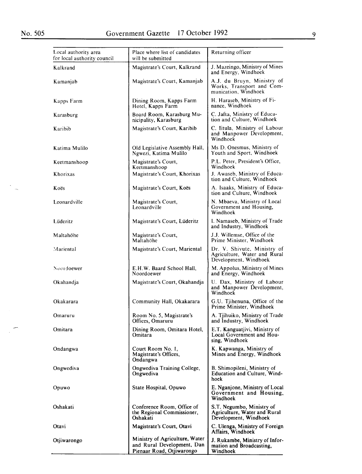$\sim$  $\overline{a}$ 

 $\mathbb{R}^2$ 

| Local authority area<br>for local authority council | Place where list of candidates<br>will be submitted                                       | Returning officer                                                                    |
|-----------------------------------------------------|-------------------------------------------------------------------------------------------|--------------------------------------------------------------------------------------|
| Kalkrand                                            | Magistrate's Court, Kalkrand                                                              | J. Mazeingo, Ministry of Mines<br>and Energy, Windhoek                               |
| Kamanjab                                            | Magistrate's Court, Kamanjab                                                              | A.J. du Bruyn, Ministry of<br>Works, Transport and Com-<br>munication, Windhoek      |
| Kapps Farm                                          | Dining Room, Kapps Farm<br>Hotel, Kapps Farm                                              | H. Haraseb, Ministry of Fi-<br>nance, Windhoek                                       |
| Karasburg                                           | Board Room, Karasburg Mu-<br>nicipality, Karasburg                                        | C. Jafta, Ministry of Educa-<br>tion and Culture, Windhoek                           |
| Karibib                                             | Magistrate's Court, Karibib                                                               | C. Iitula, Ministry of Labour<br>and Manpower Development,<br>Windhoek               |
| Katima Mulilo                                       | Old Legislative Assembly Hall,<br>Ngwezi, Katima Mulilo                                   | Ms D. Onesmus, Ministry of<br>Youth and Sport, Windhoek                              |
| Keetmanshoop                                        | Magistrate's Court,<br>Keetmanshoop                                                       | P.L. Peter, President's Office,<br>Windhoek                                          |
| Khorixas                                            | Magistrate's Court, Khorixas                                                              | J. Awaseb, Ministry of Educa-<br>tion and Culture, Windhoek                          |
| Koës                                                | Magistrate's Court, Koës                                                                  | A. Isaaks, Ministry of Educa-<br>tion and Culture, Windhoek                          |
| Leonardville                                        | Magistrate's Court,<br>Leonardville                                                       | N. Mbaeva, Ministry of Local<br>Government and Housing,<br>Windhoek                  |
| Lüderitz                                            | Magistrate's Court, Lüderitz                                                              | I. Namaseb, Ministry of Trade<br>and Industry, Windhoek                              |
| Maltahöhe                                           | Magistrate's Court,<br>Maltahöhe                                                          | J.J. Willemse, Office of the<br>Prime Minister, Windhoek                             |
| Mariental                                           | Magistrate's Court, Mariental                                                             | Dr. V. Shivute, Ministry of<br>Agriculture, Water and Rural<br>Development, Windhoek |
| Noor doewer                                         | E.H.W. Baard School Hall,<br>Noordoewer                                                   | M. Appolus, Ministry of Mines<br>and Energy, Windhoek                                |
| Okahandja                                           | Magistrate's Court, Okahandja                                                             | U. Dax, Ministry of Labour<br>and Manpower Development,<br>Windhoek                  |
| Okakarara                                           | Community Hall, Okakarara                                                                 | G.U. Tjihenuna, Office of the<br>Prime Minister, Windhoek                            |
| Omaruru                                             | Room No. 5, Magistrate's<br>Offices, Omaruru                                              | A. Tjihuiko, Ministry of Trade<br>and Industry, Windhoek                             |
| Omitara                                             | Dining Room, Omitara Hotel,<br>Omitara                                                    | E.T. Kanguatjivi, Ministry of<br>Local Government and Hou-<br>sing, Windhoek         |
| Ondangwa                                            | Court Room No. 1,<br>Magistrate's Offices,<br>Ondangwa                                    | K. Kapwanga, Ministry of<br>Mines and Energy, Windhoek                               |
| Ongwediva                                           | Ongwediva Training College,<br>Ongwediva                                                  | B. Shimopileni, Ministry of<br>Education and Culture, Wind-<br>hoek                  |
| Opuwo                                               | State Hospital, Opuwo                                                                     | E. Nganjone, Ministry of Local<br>Government and Housing,<br>Windhoek                |
| Oshakati                                            | Conference Room, Office of<br>the Regional Commissioner,<br>Oshakati                      | S.T. Negumbo, Ministry of<br>Agriculture, Water and Rural<br>Development, Windhoek   |
| Otavi                                               | Magistrate's Court, Otavi                                                                 | C. Ulenga, Ministry of Foreign<br>Affairs, Windhoek                                  |
| Otjiwarongo                                         | Ministry of Agriculture, Water<br>and Rural Development, Dan<br>Pienaar Road, Otjiwarongo | J. Rukambe, Ministry of Infor-<br>mation and Broadcasting,<br>Windhoek               |